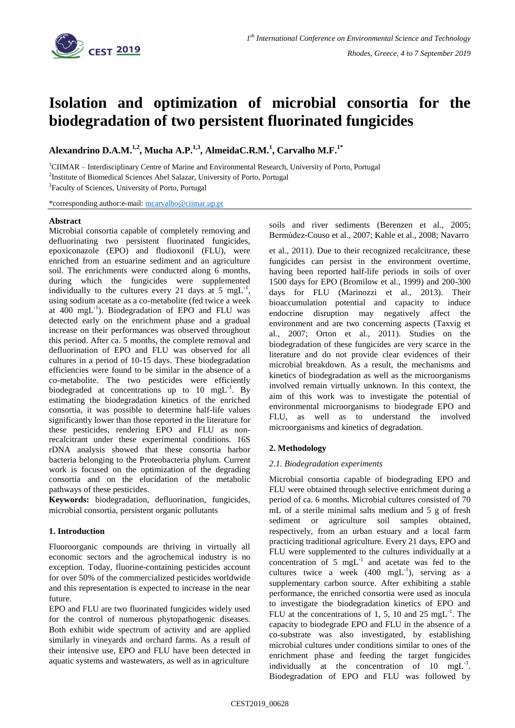

# **Isolation and optimization of microbial consortia for the biodegradation of two persistent fluorinated fungicides**

**Alexandrino D.A.M. 1,2 , Mucha A.P.1,3 , AlmeidaC.R.M.<sup>1</sup> , Carvalho M.F.1\***

<sup>1</sup>CIIMAR – Interdisciplinary Centre of Marine and Environmental Research, University of Porto, Portugal <sup>2</sup>Institute of Biomedical Sciences Abel Salazar, University of Porto, Portugal

<sup>3</sup>Faculty of Sciences, University of Porto, Portugal

\*corresponding author:e-mail: [mcarvalho@ciimar.up.pt](mailto:mcarvalho@ciimar.up.pt)

#### **Abstract**

Microbial consortia capable of completely removing and defluorinating two persistent fluorinated fungicides, epoxiconazole (EPO) and fludioxonil (FLU), were enriched from an estuarine sediment and an agriculture soil. The enrichments were conducted along 6 months, during which the fungicides were supplemented individually to the cultures every 21 days at 5 mgL<sup>-1</sup>, using sodium acetate as a co-metabolite (fed twice a week at  $400 \text{ mgL}^{-1}$ ). Biodegradation of EPO and FLU was detected early on the enrichment phase and a gradual increase on their performances was observed throughout this period. After ca. 5 months, the complete removal and defluorination of EPO and FLU was observed for all cultures in a period of 10-15 days. These biodegradation efficiencies were found to be similar in the absence of a co-metabolite. The two pesticides were efficiently biodegraded at concentrations up to  $10 \text{ mgL}^{-1}$ . By estimating the biodegradation kinetics of the enriched consortia, it was possible to determine half-life values significantly lower than those reported in the literature for these pesticides, rendering EPO and FLU as nonrecalcitrant under these experimental conditions. 16S rDNA analysis showed that these consortia harbor bacteria belonging to the Proteobacteria phylum. Current work is focused on the optimization of the degrading consortia and on the elucidation of the metabolic pathways of these pesticides.

**Keywords:** biodegradation, defluorination, fungicides, microbial consortia, persistent organic pollutants

## **1. Introduction**

Fluoroorganic compounds are thriving in virtually all economic sectors and the agrochemical industry is no exception. Today, fluorine-containing pesticides account for over 50% of the commercialized pesticides worldwide and this representation is expected to increase in the near future.

EPO and FLU are two fluorinated fungicides widely used for the control of numerous phytopathogenic diseases. Both exhibit wide spectrum of activity and are applied similarly in vineyards and orchard farms. As a result of their intensive use, EPO and FLU have been detected in aquatic systems and wastewaters, as well as in agriculture

soils and river sediments (Berenzen et al., 2005; Bermúdez-Couso et al., 2007; Kahle et al., 2008; Navarro

et al., 2011). Due to their recognized recalcitrance, these fungicides can persist in the environment overtime, having been reported half-life periods in soils of over 1500 days for EPO (Bromilow et al., 1999) and 200-300 days for FLU (Marinozzi et al., 2013). Their bioaccumulation potential and capacity to induce endocrine disruption may negatively affect the environment and are two concerning aspects (Taxvig et al., 2007; Orton et al., 2011). Studies on the biodegradation of these fungicides are very scarce in the literature and do not provide clear evidences of their microbial breakdown. As a result, the mechanisms and kinetics of biodegradation as well as the microorganisms involved remain virtually unknown. In this context, the aim of this work was to investigate the potential of environmental microorganisms to biodegrade EPO and FLU, as well as to understand the involved microorganisms and kinetics of degradation.

## **2. Methodology**

## *2.1. Biodegradation experiments*

Microbial consortia capable of biodegrading EPO and FLU were obtained through selective enrichment during a period of ca. 6 months. Microbial cultures consisted of 70 mL of a sterile minimal salts medium and 5 g of fresh sediment or agriculture soil samples obtained, respectively, from an urban estuary and a local farm practicing traditional agriculture. Every 21 days, EPO and FLU were supplemented to the cultures individually at a concentration of 5  $mgL^{-1}$  and acetate was fed to the cultures twice a week  $(400 \text{ mgL}^{-1})$ , serving as a supplementary carbon source. After exhibiting a stable performance, the enriched consortia were used as inocula to investigate the biodegradation kinetics of EPO and FLU at the concentrations of 1, 5, 10 and 25 mgL<sup>-1</sup>. The capacity to biodegrade EPO and FLU in the absence of a co-substrate was also investigated, by establishing microbial cultures under conditions similar to ones of the enrichment phase and feeding the target fungicides individually at the concentration of  $10 \text{ mgL}^{-1}$ . Biodegradation of EPO and FLU was followed by